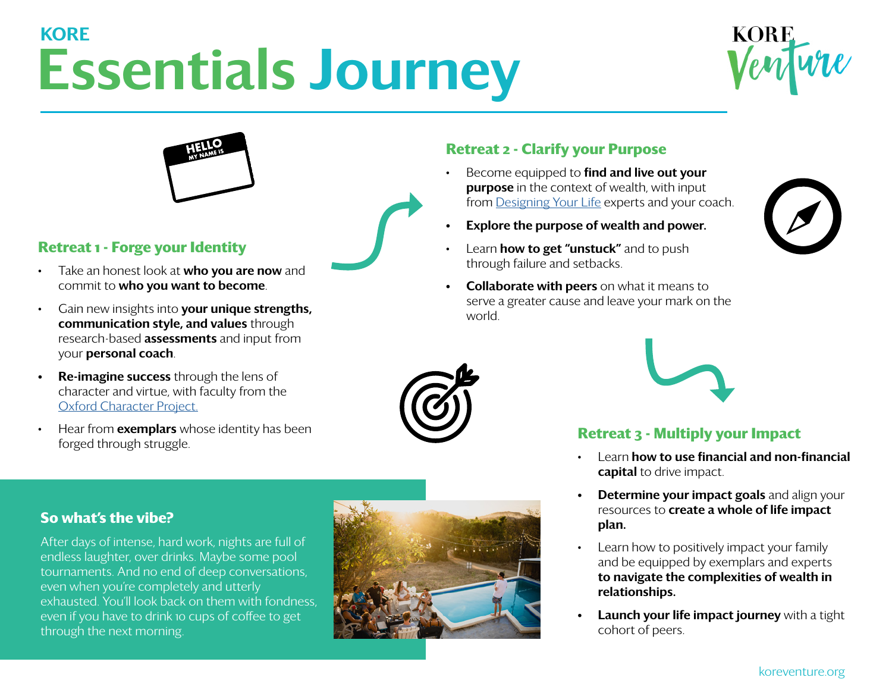# Essentials Journey **KORF**





### **Retreat 1 - Forge your Identity**

- Take an honest look at **who you are now** and commit to who you want to become.
- Gain new insights into **your unique strengths**, communication style, and values through research-based **assessments** and input from your personal coach.
- **Re-imagine success** through the lens of character and virtue, with faculty from the [Oxford Character Project.](https://oxfordcharacter.org/)
- Hear from **exemplars** whose identity has been forged through struggle.



## **Retreat 2 - Clarify your Purpose**

- Become equipped to find and live out your **purpose** in the context of wealth, with input from [Designing Your Life](https://designingyour.life/) experts and your coach.
- Explore the purpose of wealth and power.
- Learn **how to get "unstuck"** and to push through failure and setbacks.
- **Collaborate with peers** on what it means to serve a greater cause and leave your mark on the world.





### **Retreat 3 - Multiply your Impact**

- Learn how to use financial and non-financial capital to drive impact.
- Determine your impact goals and align your resources to create a whole of life impact plan.
- Learn how to positively impact your family and be equipped by exemplars and experts to navigate the complexities of wealth in relationships.
- Launch your life impact journey with a tight cohort of peers.

#### **So what's the vibe?**

After days of intense, hard work, nights are full of endless laughter, over drinks. Maybe some pool tournaments. And no end of deep conversations, even when you're completely and utterly exhausted. You'll look back on them with fondness, even if you have to drink 10 cups of coffee to get through the next morning.